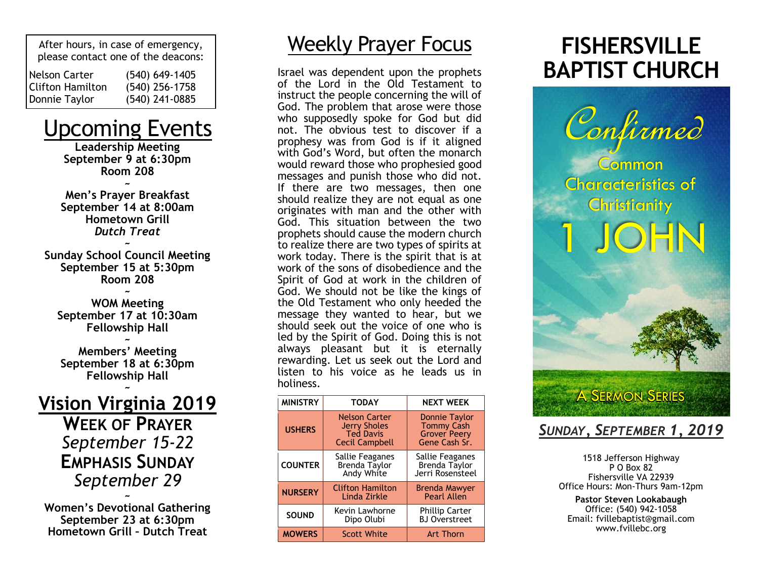After hours, in case of emergency, please contact one of the deacons: Nelson Carter Clifton Hamilton Donnie Taylor (540) 649-1405 (540) 256-1758 (540) 241-0885

### Upcoming Events

**Leadership Meeting September 9 at 6:30pm Room 208 ~**

**Men's Prayer Breakfast September 14 at 8:00am Hometown Grill** *Dutch Treat*

**~ Sunday School Council Meeting September 15 at 5:30pm Room 208**

**~ WOM Meeting September 17 at 10:30am Fellowship Hall**

**~ Members' Meeting September 18 at 6:30pm Fellowship Hall ~**

#### **Vision Virginia 2019 WEEK OF PRAYER** *September 15-22* **EMPHASIS SUNDAY** *September 29 ~*

**Women's Devotional Gathering September 23 at 6:30pm Hometown Grill – Dutch Treat**

### Weekly Prayer Focus

Israel was dependent upon the prophets of the Lord in the Old Testament to instruct the people concerning the will of God. The problem that arose were those who supposedly spoke for God but did not. The obvious test to discover if a prophesy was from God is if it aligned with God's Word, but often the monarch would reward those who prophesied good messages and punish those who did not. If there are two messages, then one should realize they are not equal as one originates with man and the other with God. This situation between the two prophets should cause the modern church to realize there are two types of spirits at work today. There is the spirit that is at work of the sons of disobedience and the Spirit of God at work in the children of God. We should not be like the kings of the Old Testament who only heeded the message they wanted to hear, but we should seek out the voice of one who is led by the Spirit of God. Doing this is not always pleasant but it is eternally rewarding. Let us seek out the Lord and listen to his voice as he leads us in holiness.

| <b>MINISTRY</b> | <b>TODAY</b>                                                                             | <b>NEXT WEEK</b>                                                                  |
|-----------------|------------------------------------------------------------------------------------------|-----------------------------------------------------------------------------------|
| <b>USHERS</b>   | <b>Nelson Carter</b><br><b>Jerry Sholes</b><br><b>Ted Davis</b><br><b>Cecil Campbell</b> | <b>Donnie Taylor</b><br><b>Tommy Cash</b><br><b>Grover Peery</b><br>Gene Cash Sr. |
| <b>COUNTER</b>  | Sallie Feaganes<br><b>Brenda Taylor</b><br>Andy White                                    | Sallie Feaganes<br><b>Brenda Taylor</b><br>Jerri Rosensteel                       |
| <b>NURSERY</b>  | <b>Clifton Hamilton</b><br>Linda Zirkle                                                  | <b>Brenda Mawyer</b><br><b>Pearl Allen</b>                                        |
| <b>SOUND</b>    | Kevin Lawhorne<br>Dipo Olubi                                                             | <b>Phillip Carter</b><br><b>BJ</b> Overstreet                                     |
| <b>MOWERS</b>   | <b>Scott White</b>                                                                       | <b>Art Thorn</b>                                                                  |

## **FISHERSVILLE BAPTIST CHURCH**



### *SUNDAY, SEPTEMBER 1, 2019*

1518 Jefferson Highway P O Box 82 Fishersville VA 22939 Office Hours: Mon-Thurs 9am-12pm

**Pastor Steven Lookabaugh** Office: (540) 942-1058 Email: fvillebaptist@gmail.com www.fvillebc.org